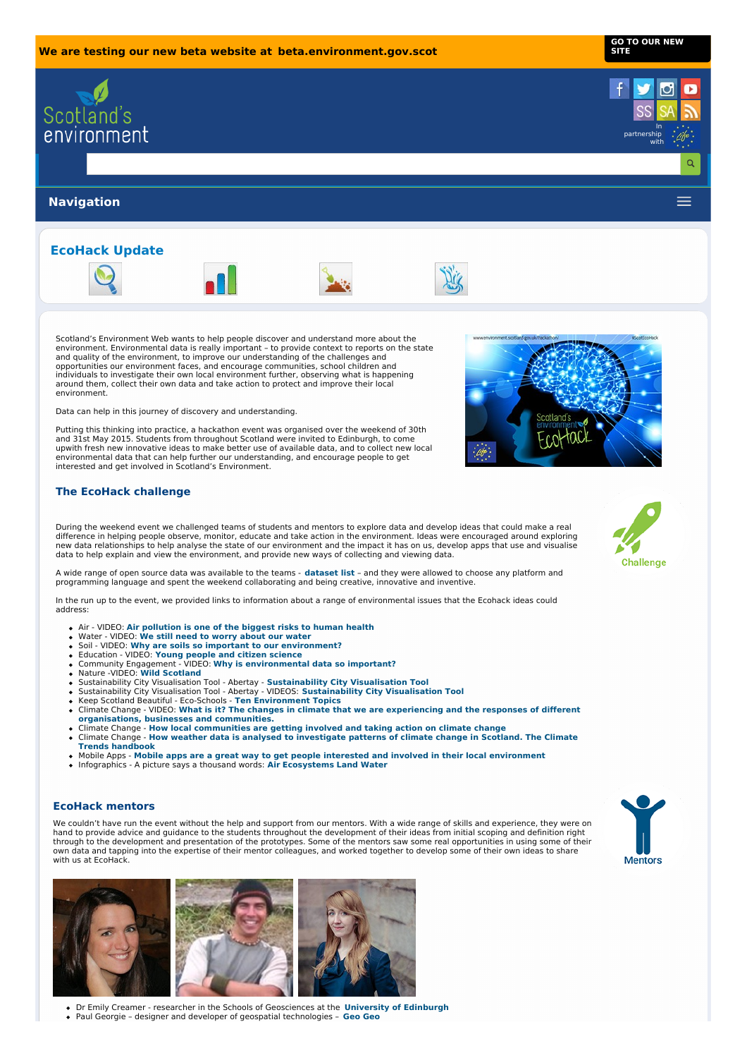**GO TO OUR [NEW](https://beta.environment.gov.scot) SITE**









Scotland's Environment Web wants to help people discover and understand more about the environment. Environmental data is really important – to provide context to reports on the state and quality of the environment, to improve our understanding of the challenges and opportunities our environment faces, and encourage communities, school children and individuals to investigate their own local environment further, observing what is happening around them, collect their own data and take action to protect and improve their local environment.

Data can help in this journey of discovery and understanding.

Putting this thinking into practice, a hackathon event was organised over the weekend of 30th and 31st May 2015. Students from throughout Scotland were invited to Edinburgh, to come upwith fresh new innovative ideas to make better use of available data, and to collect new local environmental data that can help further our understanding, and encourage people to get interested and get involved in Scotland's Environment.

# **The EcoHack challenge**

During the weekend event we challenged teams of students and mentors to explore data and develop ideas that could make a real<br>difference in helping people observe, monitor, educate and take action in the environment. Ideas new data relationships to help analyse the state of our environment and the impact it has on us, develop apps that use and visualise data to help explain and view the environment, and provide new ways of collecting and viewing data.

A wide range of open source data was available to the teams - **[dataset](http://www.environment.scotland.gov.uk/media/100376/ecohack-dataset-list.pdf) list** – and they were allowed to choose any platform and programming language and spent the weekend collaborating and being creative, innovative and inventive.

In the run up to the event, we provided links to information about a range of environmental issues that the Ecohack ideas could address:

- Air VIDEO: **Air [pollution](http://www.sepa.org.uk/making-the-case/media-items/?topic=Air&id=5997) is one of the biggest risks to human health**
- 
- 
- Water VIDEO: We still need to worry [about](http://www.sepa.org.uk/making-the-case/media-items/?topic=Water&id=6001) our water<br>Soil VIDEO: Why are soils so important to our [environment?](http://www.sepa.org.uk/making-the-case/media-items/?topic=Soil&id=5803)<br>Education VIDEO: Young people and citizen [science](https://www.youtube.com/watch?v=i-lD2MI18UQ)<br>Community Engagement VIDEO: Why is [environmental](https://www.youtube.com/watch?v=GWLZDesHQTk) data
- Nature -VIDEO: **Wild [Scotland](https://www.youtube.com/watch?v=CvGhmrsrkL8)**
- 
- [Sustainability](http://save.abertay.ac.uk/videos.html) City Visualisation Tool Abertay **Sustainability City Visualisation Tool**<br>Sustainability City Visualisation Tool Abertay VIDEOS: **Sustainability City Visualisation Tool**
- 
- Keep Scotland Beautiful Eco-Schools **Ten [Environment](http://www.keepscotlandbeautiful.org/sustainable-development-education/eco-schools/ten-topics/) Topics**<br>Climate Change VIDEO: **What is it? The changes in climate that we are experiencing and the responses of different [organisations,](https://vimeo.com/67719422#at=171) businesses and communities.**
- Climate Change How local [communities](http://www.adaptationscotland.org.uk/2/123/0/Local-climate-stories.aspx) are getting involved and taking action on climate change<br>Climate Change How weather data is analysed to [investigate](http://www.environment.scotland.gov.uk/climate_trends_handbook/index.html) patterns of climate change in Scotland. The Climate
- **Trends handbook**
- Mobile Apps **Mobile apps are a great way to get people interested and involved in their local [environment](http://www.environment.scotland.gov.uk/get-involved/mobile-apps/)**<br>Infographics A picture says a thousand words: **[Air](http://www.environment.scotland.gov.uk/media/100297/scotlands-air-infographic.pdf) [Ecosystems](http://www.environment.scotland.gov.uk/media/71300/sepa-ecosystems.pdf) [Land](http://www.environment.scotland.gov.uk/media/100290/land-infographic.pdf) [Water](http://www.environment.scotland.gov.uk/media/100293/water-infographic.pdf)**

## **EcoHack mentors**

We couldn't have run the event without the help and support from our mentors. With a wide range of skills and experience, they were on hand to provide advice and guidance to the students throughout the development of their ideas from initial scoping and definition right through to the development and presentation of the prototypes. Some of the mentors saw some real opportunities in using some of their own data and tapping into the expertise of their mentor colleagues, and worked together to develop some of their own ideas to share with us at EcoHack.



Dr Emily Creamer - researcher in the Schools of Geosciences at the **[University](http://www.ed.ac.uk/home) of Edinburgh** Paul Georgie – designer and developer of geospatial technologies – **[Geo](http://www.geogeoglobal.com/) Geo**



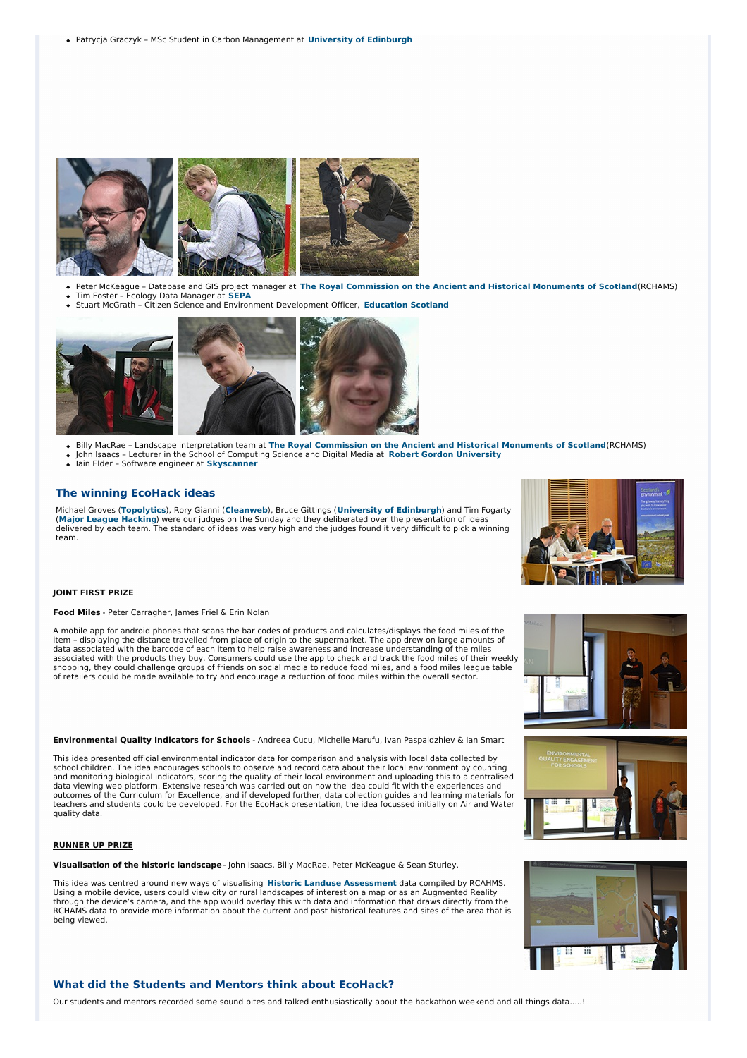

- Peter McKeague Database and GIS project manager at **The Royal [Commission](http://www.rcahms.gov.uk/) on the Ancient and Historical Monuments of Scotland**(RCHAMS) Tim Foster – Ecology Data Manager at **[SEPA](http://www.sepa.org.uk/)**
- Stuart McGrath Citizen Science and Environment Development Officer, **[Education](http://www.educationscotland.gov.uk/) Scotland**



- Billy MacRae Landscape interpretation team at **The Royal [Commission](http://www.rcahms.gov.uk/) on the Ancient and Historical Monuments of Scotland**(RCHAMS)
- John Isaacs Lecturer in the School of Computing Science and Digital Media at **Robert Gordon [University](http://www.rgu.ac.uk/)** Iain Elder – Software engineer at **[Skyscanner](http://www.skyscanner.net/)**

#### **The winning EcoHack ideas**

Michael Groves (**[Topolytics](http://topolytics.com/)**), Rory Gianni (**[Cleanweb](http://www.cleanweb.org.uk/)**), Bruce Gittings (**[University](http://www.ed.ac.uk/home) of Edinburgh**) and Tim Fogarty<br>(**Major League [Hacking](https://mlh.io/)**) were our judges on the Sunday and they deliberated over the presentation of ideas delivered by each team. The standard of ideas was very high and the judges found it very difficult to pick a winning team.



### **JOINT FIRST PRIZE**

**Food Miles** - Peter Carragher, James Friel & Erin Nolan

A mobile app for android phones that scans the bar codes of products and calculates/displays the food miles of the item – displaying the distance travelled from place of origin to the supermarket. The app drew on large amounts of data associated with the barcode of each item to help raise awareness and increase understanding of the miles associated with the products they buy. Consumers could use the app to check and track the food miles of their weekly<br>shopping, they could challenge groups of friends on social media to reduce food miles, and a food miles l of retailers could be made available to try and encourage a reduction of food miles within the overall sector.

**Environmental Quality Indicators for Schools** - Andreea Cucu, Michelle Marufu, Ivan Paspaldzhiev & Ian Smart

This idea presented official environmental indicator data for comparison and analysis with local data collected by school children. The idea encourages schools to observe and record data about their local environment by counting and monitoring biological indicators, scoring the quality of their local environment and uploading this to a centralised data viewing web platform. Extensive research was carried out on how the idea could fit with the experiences and outcomes of the Curriculum for Excellence, and if developed further, data collection guides and learning materials for teachers and students could be developed. For the EcoHack presentation, the idea focussed initially on Air and Water quality data.

#### **RUNNER UP PRIZE**

**Visualisation of the historic landscape**- John Isaacs, Billy MacRae, Peter McKeague & Sean Sturley.

This idea was centred around new ways of visualising **Historic Landuse [Assessment](http://hla.rcahms.gov.uk/)** data compiled by RCAHMS.<br>Using a mobile device, users could view city or rural landscapes of interest on a map or as an Augmented Reality through the device's camera, and the app would overlay this with data and information that draws directly from the RCHAMS data to provide more information about the current and past historical features and sites of the area that is being viewed.



### **What did the Students and Mentors think about EcoHack?**

Our students and mentors recorded some sound bites and talked enthusiastically about the hackathon weekend and all things data.....!